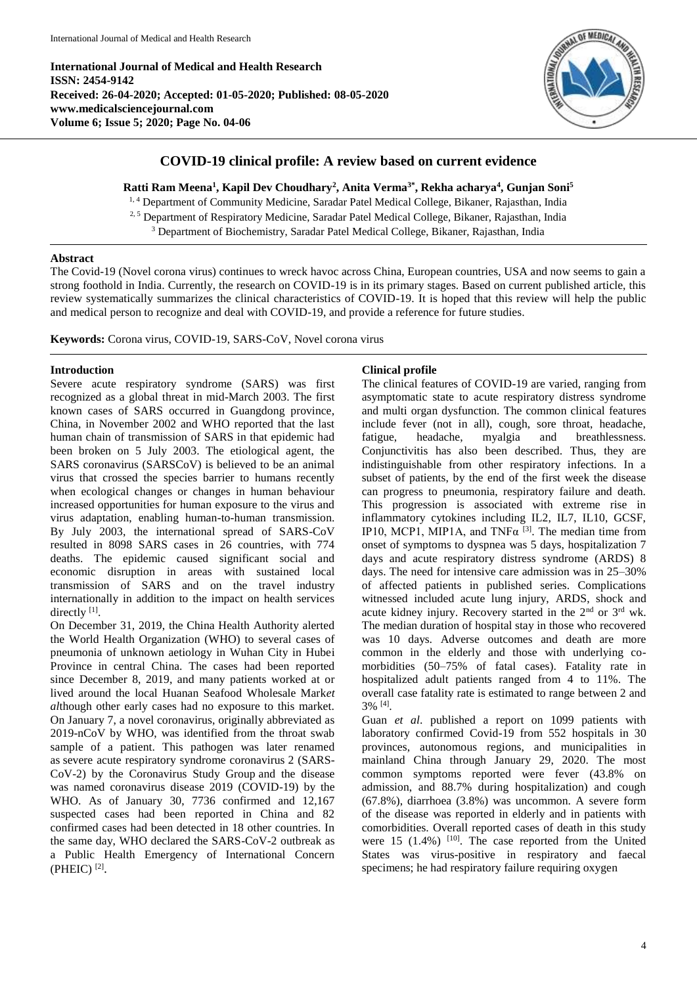**International Journal of Medical and Health Research ISSN: 2454-9142 Received: 26-04-2020; Accepted: 01-05-2020; Published: 08-05-2020 www.medicalsciencejournal.com Volume 6; Issue 5; 2020; Page No. 04-06**



# **COVID-19 clinical profile: A review based on current evidence**

**Ratti Ram Meena<sup>1</sup> , Kapil Dev Choudhary<sup>2</sup> , Anita Verma3\* , Rekha acharya<sup>4</sup> , Gunjan Soni<sup>5</sup>**

<sup>1, 4</sup> Department of Community Medicine, Saradar Patel Medical College, Bikaner, Rajasthan, India

<sup>2, 5</sup> Department of Respiratory Medicine, Saradar Patel Medical College, Bikaner, Rajasthan, India

<sup>3</sup> Department of Biochemistry, Saradar Patel Medical College, Bikaner, Rajasthan, India

## **Abstract**

The Covid-19 (Novel corona virus) continues to wreck havoc across China, European countries, USA and now seems to gain a strong foothold in India. Currently, the research on COVID-19 is in its primary stages. Based on current published article, this review systematically summarizes the clinical characteristics of COVID-19. It is hoped that this review will help the public and medical person to recognize and deal with COVID-19, and provide a reference for future studies.

**Keywords:** Corona virus, COVID-19, SARS-CoV, Novel corona virus

## **Introduction**

Severe acute respiratory syndrome (SARS) was first recognized as a global threat in mid-March 2003. The first known cases of SARS occurred in Guangdong province, China, in November 2002 and WHO reported that the last human chain of transmission of SARS in that epidemic had been broken on 5 July 2003. The etiological agent, the SARS coronavirus (SARSCoV) is believed to be an animal virus that crossed the species barrier to humans recently when ecological changes or changes in human behaviour increased opportunities for human exposure to the virus and virus adaptation, enabling human-to-human transmission. By July 2003, the international spread of SARS-CoV resulted in 8098 SARS cases in 26 countries, with 774 deaths. The epidemic caused significant social and economic disruption in areas with sustained local transmission of SARS and on the travel industry internationally in addition to the impact on health services directly [1].

On December 31, 2019, the China Health Authority alerted the World Health Organization (WHO) to several cases of pneumonia of unknown aetiology in Wuhan City in Hubei Province in central China. The cases had been reported since December 8, 2019, and many patients worked at or lived around the local Huanan Seafood Wholesale Mark*et al*though other early cases had no exposure to this market. On January 7, a novel coronavirus, originally abbreviated as 2019-nCoV by WHO, was identified from the throat swab sample of a patient. This pathogen was later renamed as severe acute respiratory syndrome coronavirus 2 (SARS-CoV-2) by the Coronavirus Study Group and the disease was named coronavirus disease 2019 (COVID-19) by the WHO. As of January 30, 7736 confirmed and 12,167 suspected cases had been reported in China and 82 confirmed cases had been detected in 18 other countries. In the same day, WHO declared the SARS-CoV-2 outbreak as a Public Health Emergency of International Concern  $(PHEIC)^{[2]}$ .

## **Clinical profile**

The clinical features of COVID-19 are varied, ranging from asymptomatic state to acute respiratory distress syndrome and multi organ dysfunction. The common clinical features include fever (not in all), cough, sore throat, headache, fatigue, headache, myalgia and breathlessness. Conjunctivitis has also been described. Thus, they are indistinguishable from other respiratory infections. In a subset of patients, by the end of the first week the disease can progress to pneumonia, respiratory failure and death. This progression is associated with extreme rise in inflammatory cytokines including IL2, IL7, IL10, GCSF, IP10, MCP1, MIP1A, and TNF $\alpha$ <sup>[3]</sup>. The median time from onset of symptoms to dyspnea was 5 days, hospitalization 7 days and acute respiratory distress syndrome (ARDS) 8 days. The need for intensive care admission was in 25–30% of affected patients in published series. Complications witnessed included acute lung injury, ARDS, shock and acute kidney injury. Recovery started in the 2<sup>nd</sup> or 3<sup>rd</sup> wk. The median duration of hospital stay in those who recovered was 10 days. Adverse outcomes and death are more common in the elderly and those with underlying comorbidities (50–75% of fatal cases). Fatality rate in hospitalized adult patients ranged from 4 to 11%. The overall case fatality rate is estimated to range between 2 and 3% [4] .

Guan *et al*. published a report on 1099 patients with laboratory confirmed Covid-19 from 552 hospitals in 30 provinces, autonomous regions, and municipalities in mainland China through January 29, 2020. The most common symptoms reported were fever (43.8% on admission, and 88.7% during hospitalization) and cough (67.8%), diarrhoea (3.8%) was uncommon. A severe form of the disease was reported in elderly and in patients with comorbidities. Overall reported cases of death in this study were  $15$   $(1.4\%)$   $[10]$ . The case reported from the United States was virus-positive in respiratory and faecal specimens; he had respiratory failure requiring oxygen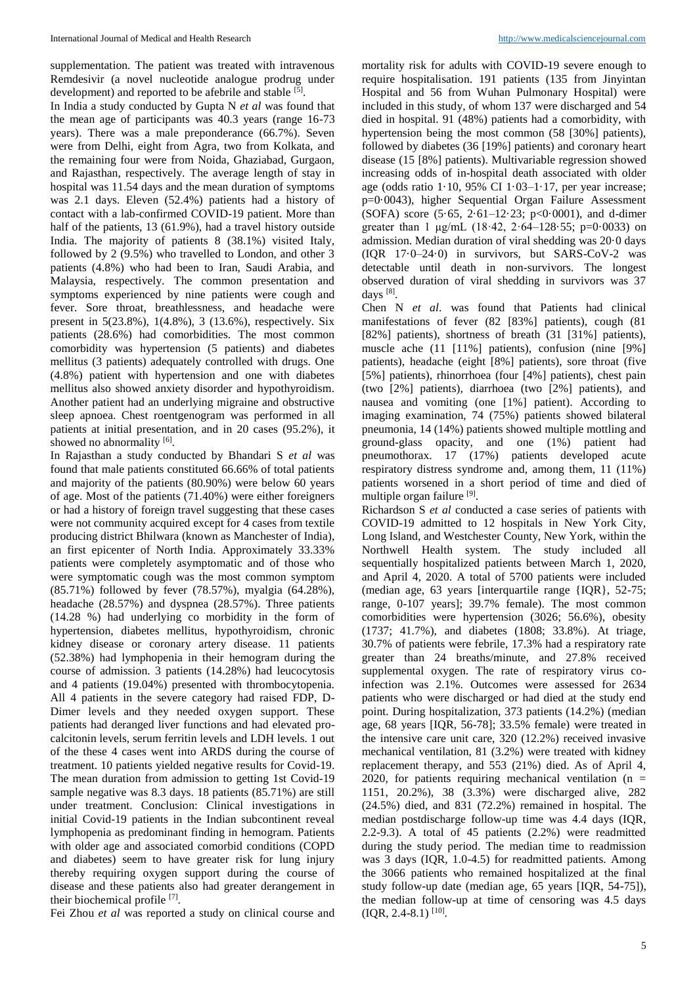supplementation. The patient was treated with intravenous Remdesivir (a novel nucleotide analogue prodrug under development) and reported to be afebrile and stable <sup>[5]</sup>.

In India a study conducted by Gupta N *et al* was found that the mean age of participants was 40.3 years (range 16-73 years). There was a male preponderance (66.7%). Seven were from Delhi, eight from Agra, two from Kolkata, and the remaining four were from Noida, Ghaziabad, Gurgaon, and Rajasthan, respectively. The average length of stay in hospital was 11.54 days and the mean duration of symptoms was 2.1 days. Eleven (52.4%) patients had a history of contact with a lab-confirmed COVID-19 patient. More than half of the patients, 13 (61.9%), had a travel history outside India. The majority of patients 8 (38.1%) visited Italy, followed by 2 (9.5%) who travelled to London, and other 3 patients (4.8%) who had been to Iran, Saudi Arabia, and Malaysia, respectively. The common presentation and symptoms experienced by nine patients were cough and fever. Sore throat, breathlessness, and headache were present in 5(23.8%), 1(4.8%), 3 (13.6%), respectively. Six patients (28.6%) had comorbidities. The most common comorbidity was hypertension (5 patients) and diabetes mellitus (3 patients) adequately controlled with drugs. One (4.8%) patient with hypertension and one with diabetes mellitus also showed anxiety disorder and hypothyroidism. Another patient had an underlying migraine and obstructive sleep apnoea. Chest roentgenogram was performed in all patients at initial presentation, and in 20 cases (95.2%), it showed no abnormality [6].

In Rajasthan a study conducted by Bhandari S *et al* was found that male patients constituted 66.66% of total patients and majority of the patients (80.90%) were below 60 years of age. Most of the patients (71.40%) were either foreigners or had a history of foreign travel suggesting that these cases were not community acquired except for 4 cases from textile producing district Bhilwara (known as Manchester of India), an first epicenter of North India. Approximately 33.33% patients were completely asymptomatic and of those who were symptomatic cough was the most common symptom (85.71%) followed by fever (78.57%), myalgia (64.28%), headache (28.57%) and dyspnea (28.57%). Three patients (14.28 %) had underlying co morbidity in the form of hypertension, diabetes mellitus, hypothyroidism, chronic kidney disease or coronary artery disease. 11 patients (52.38%) had lymphopenia in their hemogram during the course of admission. 3 patients (14.28%) had leucocytosis and 4 patients (19.04%) presented with thrombocytopenia. All 4 patients in the severe category had raised FDP, D-Dimer levels and they needed oxygen support. These patients had deranged liver functions and had elevated procalcitonin levels, serum ferritin levels and LDH levels. 1 out of the these 4 cases went into ARDS during the course of treatment. 10 patients yielded negative results for Covid-19. The mean duration from admission to getting 1st Covid-19 sample negative was 8.3 days. 18 patients (85.71%) are still under treatment. Conclusion: Clinical investigations in initial Covid-19 patients in the Indian subcontinent reveal lymphopenia as predominant finding in hemogram. Patients with older age and associated comorbid conditions (COPD and diabetes) seem to have greater risk for lung injury thereby requiring oxygen support during the course of disease and these patients also had greater derangement in their biochemical profile [7].

Fei Zhou *et al* was reported a study on clinical course and

mortality risk for adults with COVID-19 severe enough to require hospitalisation. 191 patients (135 from Jinyintan Hospital and 56 from Wuhan Pulmonary Hospital) were included in this study, of whom 137 were discharged and 54 died in hospital. 91 (48%) patients had a comorbidity, with hypertension being the most common (58 [30%] patients), followed by diabetes (36 [19%] patients) and coronary heart disease (15 [8%] patients). Multivariable regression showed increasing odds of in-hospital death associated with older age (odds ratio  $1.10$ , 95% CI  $1.03-1.17$ , per year increase; p=0·0043), higher Sequential Organ Failure Assessment (SOFA) score (5·65, 2·61–12·23; p<0·0001), and d-dimer greater than 1  $\mu$ g/mL (18.42, 2.64-128.55; p=0.0033) on admission. Median duration of viral shedding was 20·0 days (IQR 17·0–24·0) in survivors, but SARS-CoV-2 was detectable until death in non-survivors. The longest observed duration of viral shedding in survivors was 37 days [8].

Chen N *et al*. was found that Patients had clinical manifestations of fever (82 [83%] patients), cough (81 [82%] patients), shortness of breath (31 [31%] patients), muscle ache (11 [11%] patients), confusion (nine [9%] patients), headache (eight [8%] patients), sore throat (five [5%] patients), rhinorrhoea (four [4%] patients), chest pain (two [2%] patients), diarrhoea (two [2%] patients), and nausea and vomiting (one [1%] patient). According to imaging examination, 74 (75%) patients showed bilateral pneumonia, 14 (14%) patients showed multiple mottling and ground-glass opacity, and one (1%) patient had pneumothorax. 17 (17%) patients developed acute respiratory distress syndrome and, among them, 11 (11%) patients worsened in a short period of time and died of multiple organ failure [9].

Richardson S *et al* conducted a case series of patients with COVID-19 admitted to 12 hospitals in New York City, Long Island, and Westchester County, New York, within the Northwell Health system. The study included all sequentially hospitalized patients between March 1, 2020, and April 4, 2020. A total of 5700 patients were included (median age, 63 years [interquartile range {IQR}, 52-75; range, 0-107 years]; 39.7% female). The most common comorbidities were hypertension (3026; 56.6%), obesity (1737; 41.7%), and diabetes (1808; 33.8%). At triage, 30.7% of patients were febrile, 17.3% had a respiratory rate greater than 24 breaths/minute, and 27.8% received supplemental oxygen. The rate of respiratory virus coinfection was 2.1%. Outcomes were assessed for 2634 patients who were discharged or had died at the study end point. During hospitalization, 373 patients (14.2%) (median age, 68 years [IQR, 56-78]; 33.5% female) were treated in the intensive care unit care, 320 (12.2%) received invasive mechanical ventilation, 81 (3.2%) were treated with kidney replacement therapy, and 553 (21%) died. As of April 4, 2020, for patients requiring mechanical ventilation  $(n =$ 1151, 20.2%), 38 (3.3%) were discharged alive, 282 (24.5%) died, and 831 (72.2%) remained in hospital. The median postdischarge follow-up time was 4.4 days (IQR, 2.2-9.3). A total of 45 patients (2.2%) were readmitted during the study period. The median time to readmission was 3 days (IQR, 1.0-4.5) for readmitted patients. Among the 3066 patients who remained hospitalized at the final study follow-up date (median age, 65 years [IQR, 54-75]), the median follow-up at time of censoring was 4.5 days  $(IQR, 2.4-8.1)$ <sup>[10]</sup>.